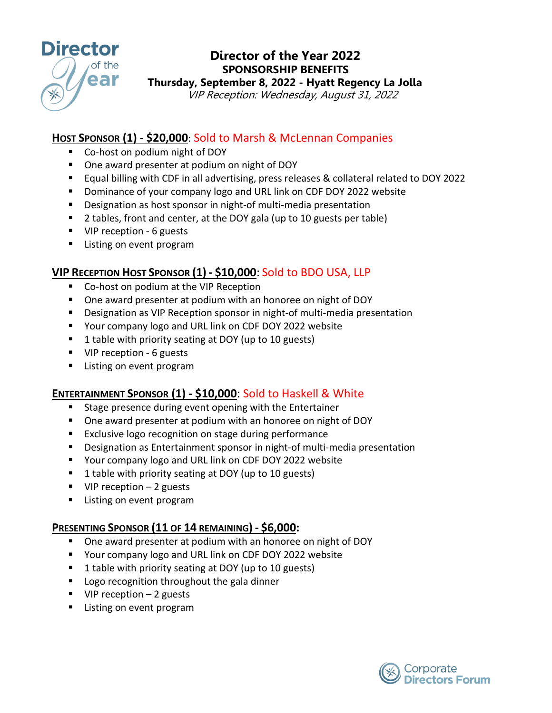

# **Director of the Year 2022 SPONSORSHIP BENEFITS Thursday, September 8, 2022 - Hyatt Regency La Jolla**

VIP Reception: Wednesday, August 31, 2022

### **HOST SPONSOR (1) - \$20,000**: Sold to Marsh & McLennan Companies

- Co-host on podium night of DOY
- One award presenter at podium on night of DOY
- Equal billing with CDF in all advertising, press releases & collateral related to DOY 2022
- **Dominance of your company logo and URL link on CDF DOY 2022 website**
- Designation as host sponsor in night-of multi-media presentation
- 2 tables, front and center, at the DOY gala (up to 10 guests per table)
- VIP reception 6 guests
- **Listing on event program**

### **VIP RECEPTION HOST SPONSOR (1) - \$10,000**: Sold to BDO USA, LLP

- Co-host on podium at the VIP Reception
- One award presenter at podium with an honoree on night of DOY
- Designation as VIP Reception sponsor in night-of multi-media presentation
- Your company logo and URL link on CDF DOY 2022 website
- 1 table with priority seating at DOY (up to 10 guests)
- VIP reception 6 guests
- **Listing on event program**

#### **ENTERTAINMENT SPONSOR (1) - \$10,000**: Sold to Haskell & White

- **Stage presence during event opening with the Entertainer**
- One award presenter at podium with an honoree on night of DOY
- **Exclusive logo recognition on stage during performance**
- Designation as Entertainment sponsor in night-of multi-media presentation
- Your company logo and URL link on CDF DOY 2022 website
- 1 table with priority seating at DOY (up to 10 guests)
- $\blacksquare$  VIP reception 2 guests
- **EXEC** Listing on event program

#### **PRESENTING SPONSOR (11 OF 14 REMAINING) - \$6,000:**

- One award presenter at podium with an honoree on night of DOY
- Your company logo and URL link on CDF DOY 2022 website
- 1 table with priority seating at DOY (up to 10 guests)
- **Logo recognition throughout the gala dinner**
- $\blacksquare$  VIP reception 2 guests
- **Listing on event program**